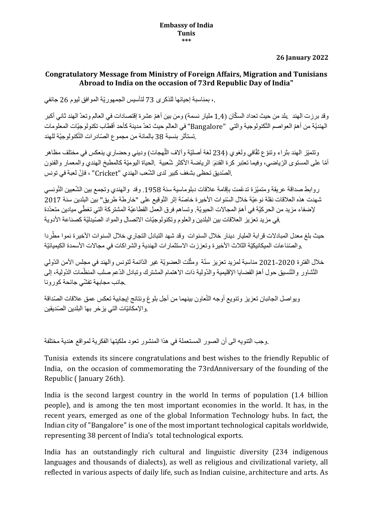**26 January 2022**

## **Congratulatory Message from Ministry of Foreign Affairs, Migration and Tunisians Abroad to India on the occasion of 73rd Republic Day of India"**

،. بمناسبة إحيائها للذكرى 73 لتأسيس الجمهوريّة الموافق ليوم 26 جانفي

وقد برزت الهند . بلد من حيث تعداد السكّان (1.4 مليار نسمة) ومن بين أهمّ عشر ة إقتصادات في العالم وتعدّ الهند ثاني أكبر الهنديّة من أهمّ العواصم التّكنولوجية والتي "Bangalore" في العالم حيث تعدّ مدينة كأحد أقطاب تكنولوجيّات المعلومات .تستأثر بنسبة 38 بالمائة من مجموع الصّادرات التّكنولوجيّة للهند

وتتميّز الهند بثراء وتنوّع ثقّافي ولغوي (234 لغة أصليّة وآلاف اللّهجات) وديني وحضاري ينعكس في مختلف مظاهر أ أمّا على المستوى الرّ باضي، وفيما تعتبر كرة القدمٓ الر باضة الأكثر شّعيبة .الحياة اليوميّة كالمطبخ الهندي والمعمار والفنون .الصّديق تحظى بشغف كبير لدى الشّعب الهندي "Cricket" ، فإنّ لعبة في تونس

ر وابط صداقة عريقة و متميّز ة تدعّمت بإقامة علاقات دبلو ماسية سنة 1958. وقد والهندي وتجمع بين الشّعبين التّونسي شهدت هذه العلاقات نقلة نو عيّة خلال السّنوات الأخير ة خاصّة إثر التّوقيع على "خار طة طريق" بين البلدين سنة 2017 لإضفاء مزيد من الحر كيّة في أهمّ المجالات الحيويّة. وتساهم فر ق العمل القطاعيّة المشتر كة التي تغطّي ميادين متعدّدة .في مزيد تعزيز العلاقات بين البلدين والعلوم وتكنولوجيّات الاتصال والمواد الصّيدليّة كصناعة الأدوية

حيث بلغ معدل المبادلات قرابة المليار دينار خلال السنوات وقد شهد التبادل التجاري خلال السنوات الأخيرة نموا مطّردا .والصّناعات الميكانيكيّة الثلاث الأخير ة وتعززت الاستثمار ات الهندية والشراكات في مجالات الأسمدة الكيميائيّة

خلال الفترة 2020-2021 مناسبة لمزيد تعزيز سنّة ومثّلت العضويّة غير الدّائمة لتونس والهند في مجلس الأمن الدّولي التّشاور والتّنسيق حول أهمّ القضايا الإقليمية والدّولية ذات الاهتمام المشترك وتبادل الدّعم صلب المنظّمات الدّولية، إلى .جانب مجابهة تفشّي جائحة كورونا

ويواصل الجانبان تعزيز وتنويع أوجه التّعاون بينهما من أجل بلوغ ونتائج إيجابية تعكس عمق علاقات الصّداقة .والإمكانيّات التي يزخر بها البلدين الصّديقين

.وجب التنويه الى أن الصور المستعملة في هذا المنشور تعود ملكيتها الفكرية لمواقع هندية مختلفة

Tunisia extends its sincere congratulations and best wishes to the friendly Republic of India, on the occasion of commemorating the 73rdAnniversary of the founding of the Republic ( January 26th).

India is the second largest country in the world In terms of population (1.4 billion people), and is among the ten most important economies in the world. It has, in the recent years, emerged as one of the global Information Technology hubs. In fact, the Indian city of "Bangalore" is one of the most important technological capitals worldwide, representing 38 percent of India's total technological exports.

India has an outstandingly rich cultural and linguistic diversity (234 indigenous languages and thousands of dialects), as well as religious and civilizational variety, all reflected in various aspects of daily life, such as Indian cuisine, architecture and arts. As